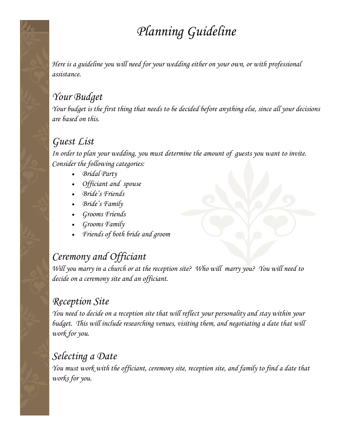# *Planning Guideline*

*Here is a guideline you will need for your wedding either on your own, or with professional assistance.*

#### *Your Budget*

*Your budget is the first thing that needs to be decided before anything else, since all your decisions are based on this.*

#### *Guest List*

*In order to plan your wedding, you must determine the amount of guests you want to invite. Consider the following categories:*

- *Bridal Party*
- *Officiant and spouse*
- *Bride's Friends*
- *Bride's Family*
- *Grooms Friends*
- *Grooms Family*
- *Friends of both bride and groom*

### *Ceremony and Officiant*

*Will you marry in a church or at the reception site? Who will marry you? You will need to decide on a ceremony site and an officiant.*

#### *Reception Site*

*You need to decide on a reception site that will reflect your personality and stay within your budget. This will include researching venues, visiting them, and negotiating a date that will work for you.*

#### *Selecting a Date*

*You must work with the officiant, ceremony site, reception site, and family to find a date that works for you.*